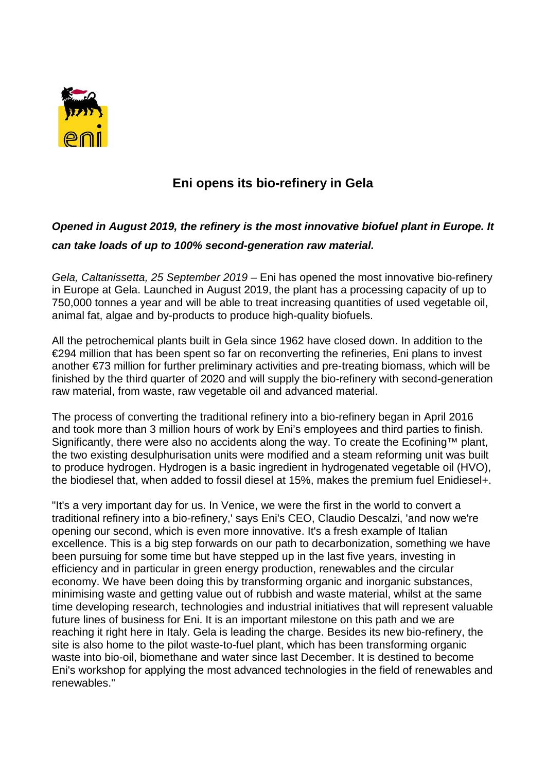

## **Eni opens its bio-refinery in Gela**

## *Opened in August 2019, the refinery is the most innovative biofuel plant in Europe. It can take loads of up to 100% second-generation raw material.*

*Gela, Caltanissetta, [25 September 2019](x-apple-data-detectors://2/)* – Eni has opened the most innovative bio-refinery in Europe at Gela. Launched in August 2019, the plant has a processing capacity of up to 750,000 tonnes a year and will be able to treat increasing quantities of used vegetable oil, animal fat, algae and by-products to produce high-quality biofuels.

All the petrochemical plants built in Gela since 1962 have closed down. In addition to the €294 million that has been spent so far on reconverting the refineries, Eni plans to invest another €73 million for further preliminary activities and pre-treating biomass, which will be finished by the third quarter of 2020 and will supply the bio-refinery with second-generation raw material, from waste, raw vegetable oil and advanced material.

The process of converting the traditional refinery into a bio-refinery began in April 2016 and took more than 3 million hours of work by Eni's employees and third parties to finish. Significantly, there were also no accidents along the way. To create the Ecofining™ plant, the two existing desulphurisation units were modified and a steam reforming unit was built to produce hydrogen. Hydrogen is a basic ingredient in hydrogenated vegetable oil (HVO), the biodiesel that, when added to fossil diesel at 15%, makes the premium fuel Enidiesel+.

"It's a very important day for us. In Venice, we were the first in the world to convert a traditional refinery into a bio-refinery,' says Eni's CEO, Claudio Descalzi, 'and now we're opening our second, which is even more innovative. It's a fresh example of Italian excellence. This is a big step forwards on our path to decarbonization, something we have been pursuing for some time but have stepped up in the last five years, investing in efficiency and in particular in green energy production, renewables and the circular economy. We have been doing this by transforming organic and inorganic substances, minimising waste and getting value out of rubbish and waste material, whilst at the same time developing research, technologies and industrial initiatives that will represent valuable future lines of business for Eni. It is an important milestone on this path and we are reaching it right here in Italy. Gela is leading the charge. Besides its new bio-refinery, the site is also home to the pilot waste-to-fuel plant, which has been transforming organic waste into bio-oil, biomethane and water since last December. It is destined to become Eni's workshop for applying the most advanced technologies in the field of renewables and renewables."